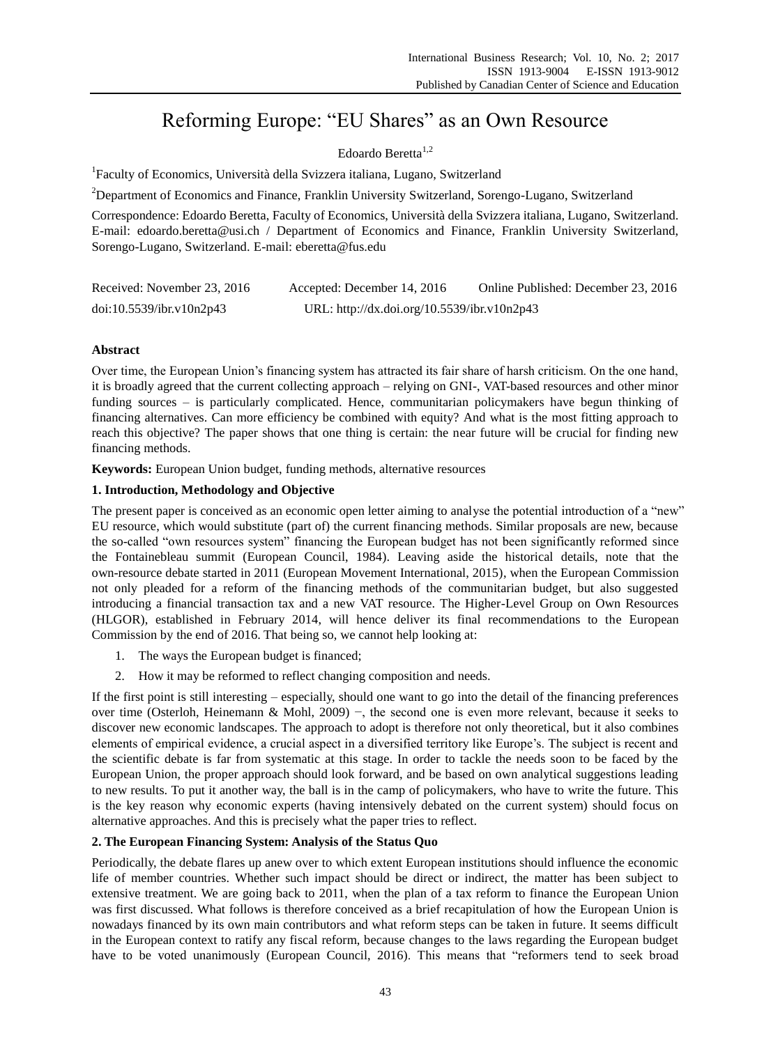# Reforming Europe: "EU Shares" as an Own Resource

## Edoardo Beretta $1,2$

<sup>1</sup>Faculty of Economics, Universit à della Svizzera italiana, Lugano, Switzerland

<sup>2</sup>Department of Economics and Finance, Franklin University Switzerland, Sorengo-Lugano, Switzerland

Correspondence: Edoardo Beretta, Faculty of Economics, Università della Svizzera italiana, Lugano, Switzerland. E-mail: edoardo.beretta@usi.ch / Department of Economics and Finance, Franklin University Switzerland, Sorengo-Lugano, Switzerland. E-mail: eberetta@fus.edu

| Received: November 23, 2016 | Accepted: December 14, 2016                 | Online Published: December 23, 2016 |
|-----------------------------|---------------------------------------------|-------------------------------------|
| doi:10.5539/ibr.v10n2p43    | URL: http://dx.doi.org/10.5539/ibr.v10n2p43 |                                     |

## **Abstract**

Over time, the European Union"s financing system has attracted its fair share of harsh criticism. On the one hand, it is broadly agreed that the current collecting approach – relying on GNI-, VAT-based resources and other minor funding sources – is particularly complicated. Hence, communitarian policymakers have begun thinking of financing alternatives. Can more efficiency be combined with equity? And what is the most fitting approach to reach this objective? The paper shows that one thing is certain: the near future will be crucial for finding new financing methods.

**Keywords:** European Union budget, funding methods, alternative resources

## **1. Introduction, Methodology and Objective**

The present paper is conceived as an economic open letter aiming to analyse the potential introduction of a "new" EU resource, which would substitute (part of) the current financing methods. Similar proposals are new, because the so-called "own resources system" financing the European budget has not been significantly reformed since the Fontainebleau summit (European Council, 1984). Leaving aside the historical details, note that the own-resource debate started in 2011 (European Movement International, 2015), when the European Commission not only pleaded for a reform of the financing methods of the communitarian budget, but also suggested introducing a financial transaction tax and a new VAT resource. The Higher-Level Group on Own Resources (HLGOR), established in February 2014, will hence deliver its final recommendations to the European Commission by the end of 2016. That being so, we cannot help looking at:

- 1. The ways the European budget is financed;
- 2. How it may be reformed to reflect changing composition and needs.

If the first point is still interesting – especially, should one want to go into the detail of the financing preferences over time (Osterloh, Heinemann & Mohl, 2009) −, the second one is even more relevant, because it seeks to discover new economic landscapes. The approach to adopt is therefore not only theoretical, but it also combines elements of empirical evidence, a crucial aspect in a diversified territory like Europe"s. The subject is recent and the scientific debate is far from systematic at this stage. In order to tackle the needs soon to be faced by the European Union, the proper approach should look forward, and be based on own analytical suggestions leading to new results. To put it another way, the ball is in the camp of policymakers, who have to write the future. This is the key reason why economic experts (having intensively debated on the current system) should focus on alternative approaches. And this is precisely what the paper tries to reflect.

## **2. The European Financing System: Analysis of the Status Quo**

Periodically, the debate flares up anew over to which extent European institutions should influence the economic life of member countries. Whether such impact should be direct or indirect, the matter has been subject to extensive treatment. We are going back to 2011, when the plan of a tax reform to finance the European Union was first discussed. What follows is therefore conceived as a brief recapitulation of how the European Union is nowadays financed by its own main contributors and what reform steps can be taken in future. It seems difficult in the European context to ratify any fiscal reform, because changes to the laws regarding the European budget have to be voted unanimously (European Council, 2016). This means that "reformers tend to seek broad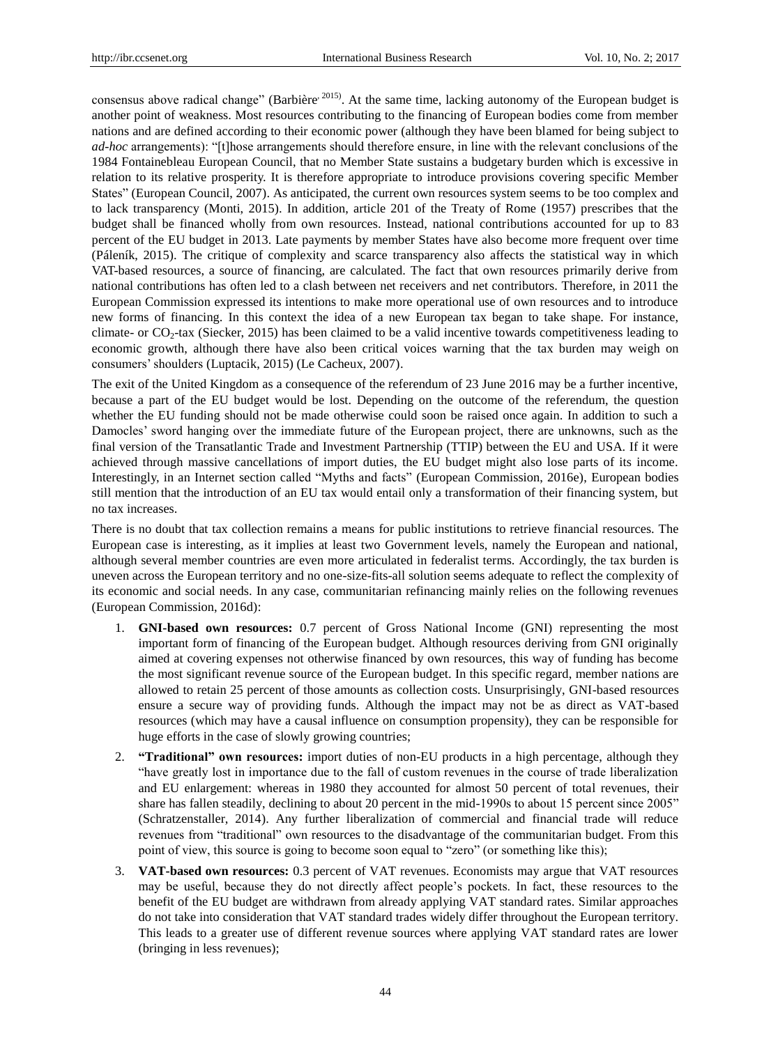consensus above radical change" (Barbi ère<sup>, 2015)</sup>. At the same time, lacking autonomy of the European budget is another point of weakness. Most resources contributing to the financing of European bodies come from member nations and are defined according to their economic power (although they have been blamed for being subject to *ad-hoc* arrangements): "[t]hose arrangements should therefore ensure, in line with the relevant conclusions of the 1984 Fontainebleau European Council, that no Member State sustains a budgetary burden which is excessive in relation to its relative prosperity. It is therefore appropriate to introduce provisions covering specific Member States" (European Council, 2007). As anticipated, the current own resources system seems to be too complex and to lack transparency (Monti, 2015). In addition, article 201 of the Treaty of Rome (1957) prescribes that the budget shall be financed wholly from own resources. Instead, national contributions accounted for up to 83 percent of the EU budget in 2013. Late payments by member States have also become more frequent over time (Páleník, 2015). The critique of complexity and scarce transparency also affects the statistical way in which VAT-based resources, a source of financing, are calculated. The fact that own resources primarily derive from national contributions has often led to a clash between net receivers and net contributors. Therefore, in 2011 the European Commission expressed its intentions to make more operational use of own resources and to introduce new forms of financing. In this context the idea of a new European tax began to take shape. For instance, climate- or CO2-tax (Siecker, 2015) has been claimed to be a valid incentive towards competitiveness leading to economic growth, although there have also been critical voices warning that the tax burden may weigh on consumers" shoulders (Luptacik, 2015) (Le Cacheux, 2007).

The exit of the United Kingdom as a consequence of the referendum of 23 June 2016 may be a further incentive, because a part of the EU budget would be lost. Depending on the outcome of the referendum, the question whether the EU funding should not be made otherwise could soon be raised once again. In addition to such a Damocles' sword hanging over the immediate future of the European project, there are unknowns, such as the final version of the Transatlantic Trade and Investment Partnership (TTIP) between the EU and USA. If it were achieved through massive cancellations of import duties, the EU budget might also lose parts of its income. Interestingly, in an Internet section called "Myths and facts" (European Commission, 2016e), European bodies still mention that the introduction of an EU tax would entail only a transformation of their financing system, but no tax increases.

There is no doubt that tax collection remains a means for public institutions to retrieve financial resources. The European case is interesting, as it implies at least two Government levels, namely the European and national, although several member countries are even more articulated in federalist terms. Accordingly, the tax burden is uneven across the European territory and no one-size-fits-all solution seems adequate to reflect the complexity of its economic and social needs. In any case, communitarian refinancing mainly relies on the following revenues (European Commission, 2016d):

- 1. **GNI-based own resources:** 0.7 percent of Gross National Income (GNI) representing the most important form of financing of the European budget. Although resources deriving from GNI originally aimed at covering expenses not otherwise financed by own resources, this way of funding has become the most significant revenue source of the European budget. In this specific regard, member nations are allowed to retain 25 percent of those amounts as collection costs. Unsurprisingly, GNI-based resources ensure a secure way of providing funds. Although the impact may not be as direct as VAT-based resources (which may have a causal influence on consumption propensity), they can be responsible for huge efforts in the case of slowly growing countries;
- 2. **"Traditional" own resources:** import duties of non-EU products in a high percentage, although they "have greatly lost in importance due to the fall of custom revenues in the course of trade liberalization and EU enlargement: whereas in 1980 they accounted for almost 50 percent of total revenues, their share has fallen steadily, declining to about 20 percent in the mid-1990s to about 15 percent since 2005" (Schratzenstaller, 2014). Any further liberalization of commercial and financial trade will reduce revenues from "traditional" own resources to the disadvantage of the communitarian budget. From this point of view, this source is going to become soon equal to "zero" (or something like this);
- 3. **VAT-based own resources:** 0.3 percent of VAT revenues. Economists may argue that VAT resources may be useful, because they do not directly affect people"s pockets. In fact, these resources to the benefit of the EU budget are withdrawn from already applying VAT standard rates. Similar approaches do not take into consideration that VAT standard trades widely differ throughout the European territory. This leads to a greater use of different revenue sources where applying VAT standard rates are lower (bringing in less revenues);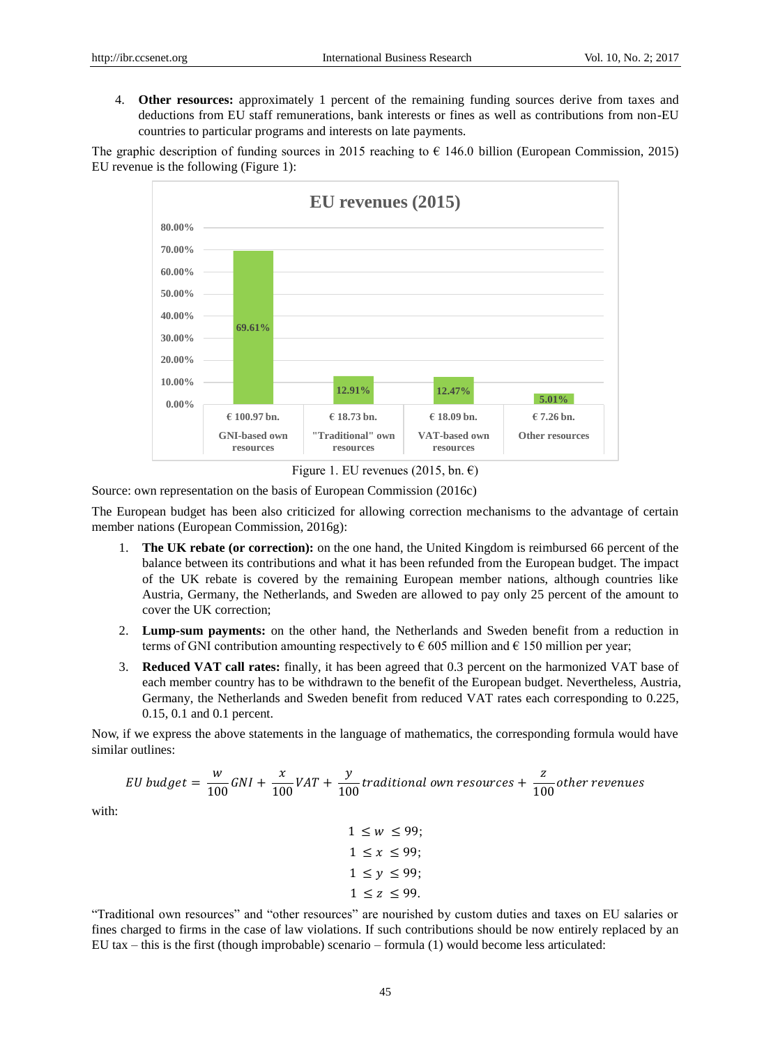4. **Other resources:** approximately 1 percent of the remaining funding sources derive from taxes and deductions from EU staff remunerations, bank interests or fines as well as contributions from non-EU countries to particular programs and interests on late payments.

The graphic description of funding sources in 2015 reaching to  $\epsilon$  146.0 billion (European Commission, 2015) EU revenue is the following (Figure 1):



Figure 1. EU revenues (2015, bn.  $\epsilon$ )

Source: own representation on the basis of European Commission (2016c)

The European budget has been also criticized for allowing correction mechanisms to the advantage of certain member nations (European Commission, 2016g):

- 1. **The UK rebate (or correction):** on the one hand, the United Kingdom is reimbursed 66 percent of the balance between its contributions and what it has been refunded from the European budget. The impact of the UK rebate is covered by the remaining European member nations, although countries like Austria, Germany, the Netherlands, and Sweden are allowed to pay only 25 percent of the amount to cover the UK correction;
- 2. **Lump-sum payments:** on the other hand, the Netherlands and Sweden benefit from a reduction in terms of GNI contribution amounting respectively to  $\epsilon$  605 million and  $\epsilon$  150 million per year;
- 3. **Reduced VAT call rates:** finally, it has been agreed that 0.3 percent on the harmonized VAT base of each member country has to be withdrawn to the benefit of the European budget. Nevertheless, Austria, Germany, the Netherlands and Sweden benefit from reduced VAT rates each corresponding to 0.225, 0.15, 0.1 and 0.1 percent.

Now, if we express the above statements in the language of mathematics, the corresponding formula would have similar outlines:

$$
EU \ budget = \frac{w}{100} GNU + \frac{x}{100} VAT + \frac{y}{100} traditional \ own \ resources + \frac{z}{100} other \ revenues
$$

with:

 $1 \leq w \leq 99$ ;  $1 \le x \le 99$ ;  $1 \le y \le 99;$  $1 \le z \le 99$ .

"Traditional own resources" and "other resources" are nourished by custom duties and taxes on EU salaries or fines charged to firms in the case of law violations. If such contributions should be now entirely replaced by an EU tax – this is the first (though improbable) scenario – formula (1) would become less articulated: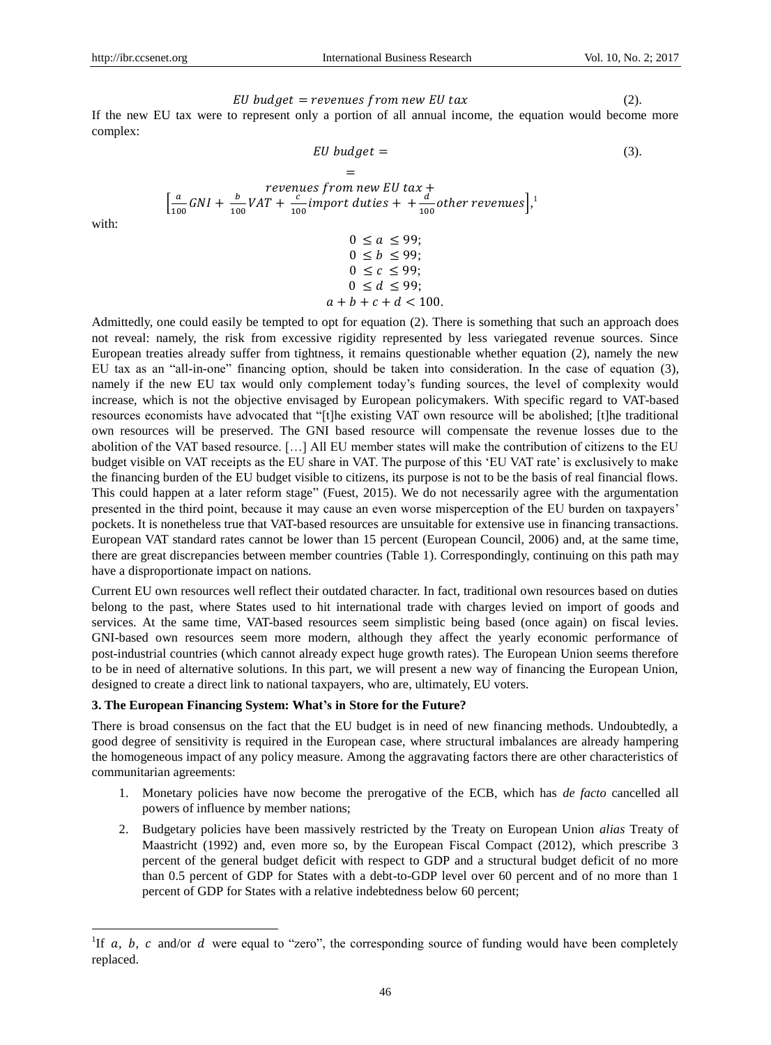#### $EU$  budget = revenues from new EU tax (2).

If the new EU tax were to represent only a portion of all annual income, the equation would become more complex:

$$
EU \; budget = \tag{3}.
$$

$$
\left[\frac{a}{100}GNI + \frac{b}{100}VAT + \frac{c}{100}import duties + + \frac{d}{100}other\,revenues\right],
$$

=

with:

l

$$
0 \le a \le 99; \n0 \le b \le 99; \n0 \le c \le 99; \n0 \le d \le 99; \n a + b + c + d < 100.
$$

Admittedly, one could easily be tempted to opt for equation (2). There is something that such an approach does not reveal: namely, the risk from excessive rigidity represented by less variegated revenue sources. Since European treaties already suffer from tightness, it remains questionable whether equation (2), namely the new EU tax as an "all-in-one" financing option, should be taken into consideration. In the case of equation (3), namely if the new EU tax would only complement today"s funding sources, the level of complexity would increase, which is not the objective envisaged by European policymakers. With specific regard to VAT-based resources economists have advocated that "[t]he existing VAT own resource will be abolished; [t]he traditional own resources will be preserved. The GNI based resource will compensate the revenue losses due to the abolition of the VAT based resource. […] All EU member states will make the contribution of citizens to the EU budget visible on VAT receipts as the EU share in VAT. The purpose of this "EU VAT rate" is exclusively to make the financing burden of the EU budget visible to citizens, its purpose is not to be the basis of real financial flows. This could happen at a later reform stage" (Fuest, 2015). We do not necessarily agree with the argumentation presented in the third point, because it may cause an even worse misperception of the EU burden on taxpayers" pockets. It is nonetheless true that VAT-based resources are unsuitable for extensive use in financing transactions. European VAT standard rates cannot be lower than 15 percent (European Council, 2006) and, at the same time, there are great discrepancies between member countries (Table 1). Correspondingly, continuing on this path may have a disproportionate impact on nations.

Current EU own resources well reflect their outdated character. In fact, traditional own resources based on duties belong to the past, where States used to hit international trade with charges levied on import of goods and services. At the same time, VAT-based resources seem simplistic being based (once again) on fiscal levies. GNI-based own resources seem more modern, although they affect the yearly economic performance of post-industrial countries (which cannot already expect huge growth rates). The European Union seems therefore to be in need of alternative solutions. In this part, we will present a new way of financing the European Union, designed to create a direct link to national taxpayers, who are, ultimately, EU voters.

#### **3. The European Financing System: What's in Store for the Future?**

There is broad consensus on the fact that the EU budget is in need of new financing methods. Undoubtedly, a good degree of sensitivity is required in the European case, where structural imbalances are already hampering the homogeneous impact of any policy measure. Among the aggravating factors there are other characteristics of communitarian agreements:

- 1. Monetary policies have now become the prerogative of the ECB, which has *de facto* cancelled all powers of influence by member nations;
- 2. Budgetary policies have been massively restricted by the Treaty on European Union *alias* Treaty of Maastricht (1992) and, even more so, by the European Fiscal Compact (2012), which prescribe 3 percent of the general budget deficit with respect to GDP and a structural budget deficit of no more than 0.5 percent of GDP for States with a debt-to-GDP level over 60 percent and of no more than 1 percent of GDP for States with a relative indebtedness below 60 percent;

<sup>&</sup>lt;sup>1</sup>If a, b, c and/or d were equal to "zero", the corresponding source of funding would have been completely replaced.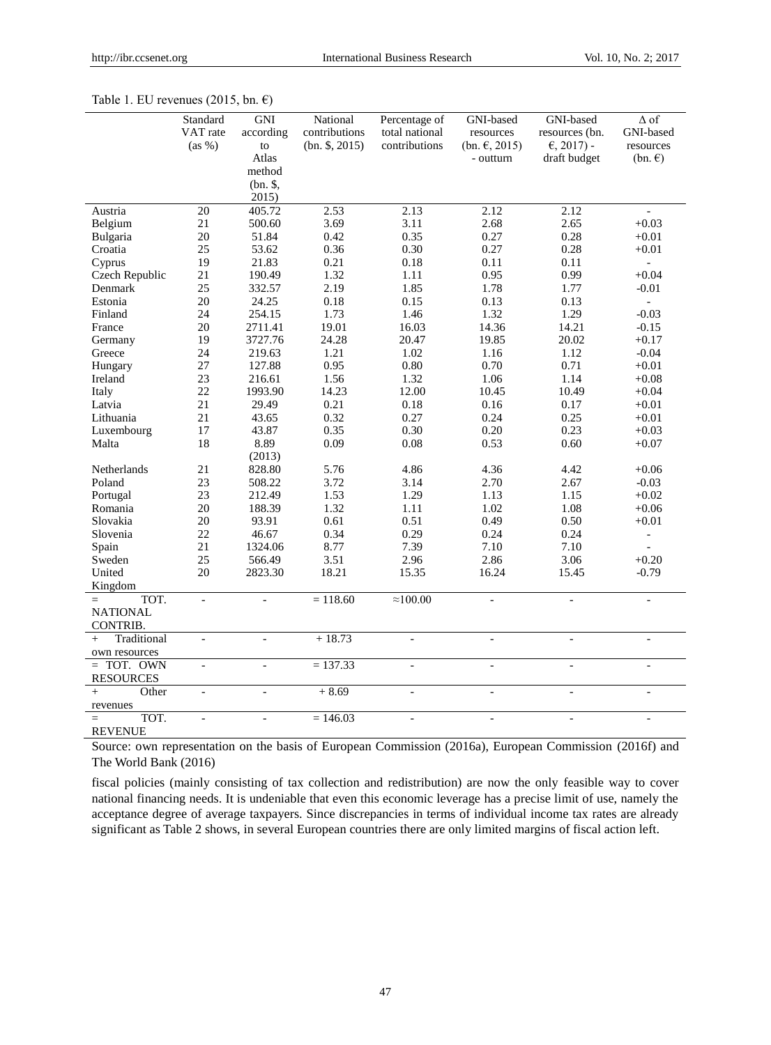|                               | Standard<br>VAT rate<br>(as %) | <b>GNI</b><br>according<br>to | National<br>contributions<br>$(bn. \, \text{S}, 2015)$ | Percentage of<br>total national<br>contributions | GNI-based<br>resources<br>$(bn. \in, 2015)$ | GNI-based<br>resources (bn.<br>$€, 2017) -$ | $\Delta$ of<br>GNI-based<br>resources |
|-------------------------------|--------------------------------|-------------------------------|--------------------------------------------------------|--------------------------------------------------|---------------------------------------------|---------------------------------------------|---------------------------------------|
|                               |                                | Atlas                         |                                                        |                                                  | - outturn                                   | draft budget                                | $(bn. \mathcal{E})$                   |
|                               |                                | method<br>$(bn.$ \$,          |                                                        |                                                  |                                             |                                             |                                       |
|                               |                                | 2015)                         |                                                        |                                                  |                                             |                                             |                                       |
| Austria                       | 20                             | 405.72                        | 2.53                                                   | 2.13                                             | 2.12                                        | 2.12                                        | $\overline{a}$                        |
| Belgium                       | 21                             | 500.60                        | 3.69                                                   | 3.11                                             | 2.68                                        | 2.65                                        | $+0.03$                               |
| Bulgaria                      | 20                             | 51.84                         | 0.42                                                   | 0.35                                             | 0.27                                        | 0.28                                        | $+0.01$                               |
| Croatia                       | 25                             | 53.62                         | 0.36                                                   | 0.30                                             | 0.27                                        | 0.28                                        | $+0.01$                               |
| Cyprus                        | 19                             | 21.83                         | 0.21                                                   | 0.18                                             | 0.11                                        | 0.11                                        | $\overline{a}$                        |
| Czech Republic                | 21                             | 190.49                        | 1.32                                                   | 1.11                                             | 0.95                                        | 0.99                                        | $+0.04$                               |
| Denmark                       | 25                             | 332.57                        | 2.19                                                   | 1.85                                             | 1.78                                        | 1.77                                        | $-0.01$                               |
| Estonia                       | 20                             | 24.25                         | 0.18                                                   | 0.15                                             | 0.13                                        | 0.13                                        | $\equiv$                              |
| Finland                       | 24                             | 254.15                        | 1.73                                                   | 1.46                                             | 1.32                                        | 1.29                                        | $-0.03$                               |
| France                        | 20                             | 2711.41                       | 19.01                                                  | 16.03                                            | 14.36                                       | 14.21                                       | $-0.15$                               |
| Germany                       | 19                             | 3727.76                       | 24.28                                                  | 20.47                                            | 19.85                                       | 20.02                                       | $+0.17$                               |
| Greece                        | 24                             | 219.63                        | 1.21                                                   | 1.02                                             | 1.16                                        | 1.12                                        | $-0.04$                               |
| Hungary                       | 27                             | 127.88                        | 0.95                                                   | 0.80                                             | 0.70                                        | 0.71                                        | $+0.01$                               |
| Ireland                       | 23                             | 216.61                        | 1.56                                                   | 1.32                                             | 1.06                                        | 1.14                                        | $+0.08$                               |
| Italy                         | 22                             | 1993.90                       | 14.23                                                  | 12.00                                            | 10.45                                       | 10.49                                       | $+0.04$                               |
| Latvia                        | 21                             | 29.49                         | 0.21                                                   | 0.18                                             | 0.16                                        | 0.17                                        | $+0.01$                               |
| Lithuania                     | 21                             | 43.65                         | 0.32                                                   | 0.27                                             | 0.24                                        | 0.25                                        | $+0.01$                               |
| Luxembourg                    | 17                             | 43.87                         | 0.35                                                   | 0.30                                             | 0.20                                        | 0.23                                        | $+0.03$                               |
| Malta                         | 18                             | 8.89<br>(2013)                | 0.09                                                   | 0.08                                             | 0.53                                        | 0.60                                        | $+0.07$                               |
| Netherlands                   | 21                             | 828.80                        | 5.76                                                   | 4.86                                             | 4.36                                        | 4.42                                        | $+0.06$                               |
| Poland                        | 23                             | 508.22                        | 3.72                                                   | 3.14                                             | 2.70                                        | 2.67                                        | $-0.03$                               |
| Portugal                      | 23                             | 212.49                        | 1.53                                                   | 1.29                                             | 1.13                                        | 1.15                                        | $+0.02$                               |
| Romania                       | 20                             | 188.39                        | 1.32                                                   | 1.11                                             | 1.02                                        | 1.08                                        | $+0.06$                               |
| Slovakia                      | 20                             | 93.91                         | 0.61                                                   | 0.51                                             | 0.49                                        | 0.50                                        | $+0.01$                               |
| Slovenia                      | 22                             | 46.67                         | 0.34                                                   | 0.29                                             | 0.24                                        | 0.24                                        | $\equiv$                              |
| Spain                         | 21                             | 1324.06                       | 8.77                                                   | 7.39                                             | 7.10                                        | 7.10                                        |                                       |
| Sweden                        | 25                             | 566.49                        | 3.51                                                   | 2.96                                             | 2.86                                        | 3.06                                        | $+0.20$                               |
| United<br>Kingdom             | 20                             | 2823.30                       | 18.21                                                  | 15.35                                            | 16.24                                       | 15.45                                       | $-0.79$                               |
| TOT.<br>$=$                   | $\overline{a}$                 | $\overline{a}$                | $= 118.60$                                             | $\approx 100.00$                                 | $\qquad \qquad \blacksquare$                | $\blacksquare$                              | $\overline{a}$                        |
| <b>NATIONAL</b>               |                                |                               |                                                        |                                                  |                                             |                                             |                                       |
| CONTRIB.                      |                                |                               |                                                        |                                                  |                                             |                                             |                                       |
| Traditional<br>$+$            | $\overline{a}$                 | $\overline{a}$                | $+18.73$                                               | $\overline{a}$                                   | $\overline{a}$                              | $\overline{a}$                              | $\overline{a}$                        |
| own resources<br>$= TOT.$ OWN | $\overline{a}$                 | $\overline{a}$                | $= 137.33$                                             | $\overline{a}$                                   | $\overline{a}$                              | $\overline{a}$                              | $\overline{a}$                        |
| <b>RESOURCES</b>              |                                |                               |                                                        |                                                  |                                             |                                             |                                       |
| Other<br>$^{+}$               | $\overline{\phantom{a}}$       | $\overline{a}$                | $+8.69$                                                | $\overline{a}$                                   | $\overline{a}$                              | $\blacksquare$                              | $\blacksquare$                        |
| revenues                      |                                |                               |                                                        |                                                  |                                             |                                             |                                       |
| TOT.<br>$=$                   | $\overline{a}$                 | $\overline{a}$                | $= 146.03$                                             | $\overline{a}$                                   | $\overline{a}$                              | $\overline{a}$                              | $\overline{a}$                        |
| <b>REVENUE</b>                |                                |                               |                                                        |                                                  |                                             |                                             |                                       |

#### Table 1. EU revenues (2015, bn.  $\epsilon$ )

Source: own representation on the basis of European Commission (2016a), European Commission (2016f) and The World Bank (2016)

fiscal policies (mainly consisting of tax collection and redistribution) are now the only feasible way to cover national financing needs. It is undeniable that even this economic leverage has a precise limit of use, namely the acceptance degree of average taxpayers. Since discrepancies in terms of individual income tax rates are already significant as Table 2 shows, in several European countries there are only limited margins of fiscal action left.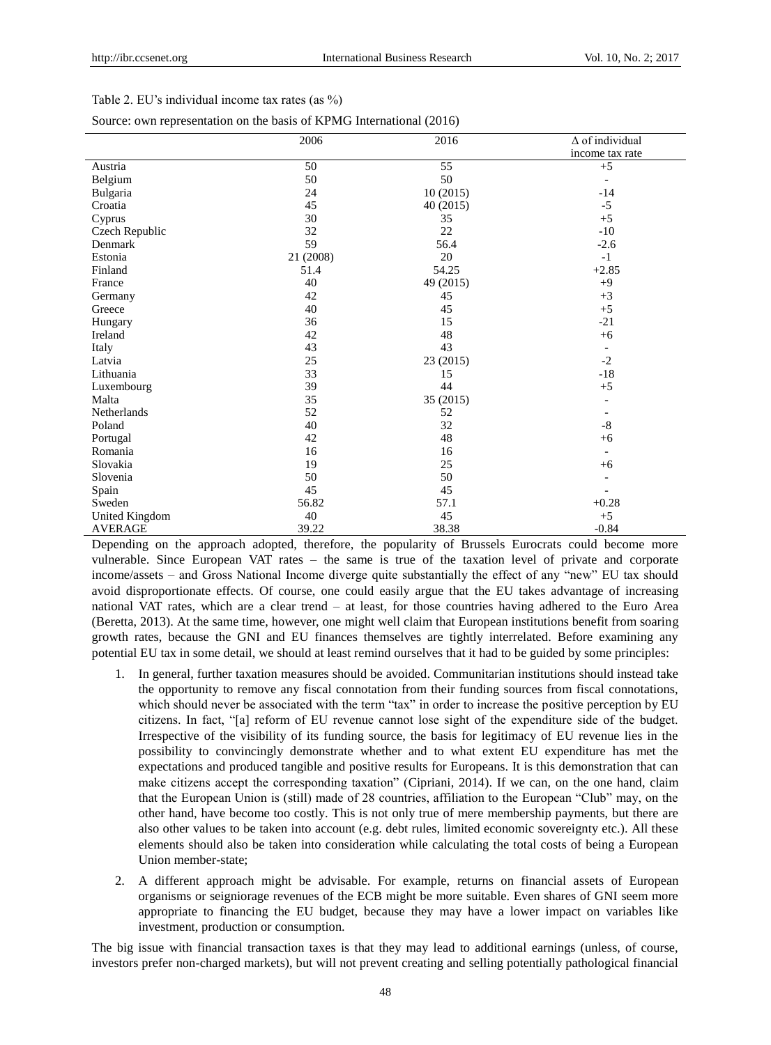## Table 2. EU's individual income tax rates (as %)

| Source: own representation on the basis of KPMG International (2016) |  |  |  |  |  |
|----------------------------------------------------------------------|--|--|--|--|--|
|----------------------------------------------------------------------|--|--|--|--|--|

|                | 2006      | 2016            | $\Delta$ of individual |
|----------------|-----------|-----------------|------------------------|
|                |           |                 | income tax rate        |
| Austria        | 50        | $\overline{55}$ | $+5$                   |
| Belgium        | 50        | 50              |                        |
| Bulgaria       | 24        | 10(2015)        | $-14$                  |
| Croatia        | 45        | 40 (2015)       | $-5$                   |
| Cyprus         | 30        | 35              | $+5$                   |
| Czech Republic | 32        | 22              | $-10$                  |
| Denmark        | 59        | 56.4            | $-2.6$                 |
| Estonia        | 21 (2008) | 20              | $-1$                   |
| Finland        | 51.4      | 54.25           | $+2.85$                |
| France         | 40        | 49 (2015)       | $+9$                   |
| Germany        | 42        | 45              | $+3$                   |
| Greece         | 40        | 45              | $+5$                   |
| Hungary        | 36        | 15              | $-21$                  |
| Ireland        | 42        | 48              | $+6$                   |
| Italy          | 43        | 43              |                        |
| Latvia         | 25        | 23 (2015)       | $-2$                   |
| Lithuania      | 33        | 15              | $-18$                  |
| Luxembourg     | 39        | 44              | $+5$                   |
| Malta          | 35        | 35 (2015)       |                        |
| Netherlands    | 52        | 52              |                        |
| Poland         | 40        | 32              | $-8$                   |
| Portugal       | 42        | 48              | $+6$                   |
| Romania        | 16        | 16              |                        |
| Slovakia       | 19        | 25              | $+6$                   |
| Slovenia       | 50        | 50              |                        |
| Spain          | 45        | 45              |                        |
| Sweden         | 56.82     | 57.1            | $+0.28$                |
| United Kingdom | 40        | 45              | $+5$                   |
| <b>AVERAGE</b> | 39.22     | 38.38           | $-0.84$                |

Depending on the approach adopted, therefore, the popularity of Brussels Eurocrats could become more vulnerable. Since European VAT rates – the same is true of the taxation level of private and corporate income/assets – and Gross National Income diverge quite substantially the effect of any "new" EU tax should avoid disproportionate effects. Of course, one could easily argue that the EU takes advantage of increasing national VAT rates, which are a clear trend – at least, for those countries having adhered to the Euro Area (Beretta, 2013). At the same time, however, one might well claim that European institutions benefit from soaring growth rates, because the GNI and EU finances themselves are tightly interrelated. Before examining any potential EU tax in some detail, we should at least remind ourselves that it had to be guided by some principles:

- 1. In general, further taxation measures should be avoided. Communitarian institutions should instead take the opportunity to remove any fiscal connotation from their funding sources from fiscal connotations, which should never be associated with the term "tax" in order to increase the positive perception by EU citizens. In fact, "[a] reform of EU revenue cannot lose sight of the expenditure side of the budget. Irrespective of the visibility of its funding source, the basis for legitimacy of EU revenue lies in the possibility to convincingly demonstrate whether and to what extent EU expenditure has met the expectations and produced tangible and positive results for Europeans. It is this demonstration that can make citizens accept the corresponding taxation" (Cipriani, 2014). If we can, on the one hand, claim that the European Union is (still) made of 28 countries, affiliation to the European "Club" may, on the other hand, have become too costly. This is not only true of mere membership payments, but there are also other values to be taken into account (e.g. debt rules, limited economic sovereignty etc.). All these elements should also be taken into consideration while calculating the total costs of being a European Union member-state;
- 2. A different approach might be advisable. For example, returns on financial assets of European organisms or seigniorage revenues of the ECB might be more suitable. Even shares of GNI seem more appropriate to financing the EU budget, because they may have a lower impact on variables like investment, production or consumption.

The big issue with financial transaction taxes is that they may lead to additional earnings (unless, of course, investors prefer non-charged markets), but will not prevent creating and selling potentially pathological financial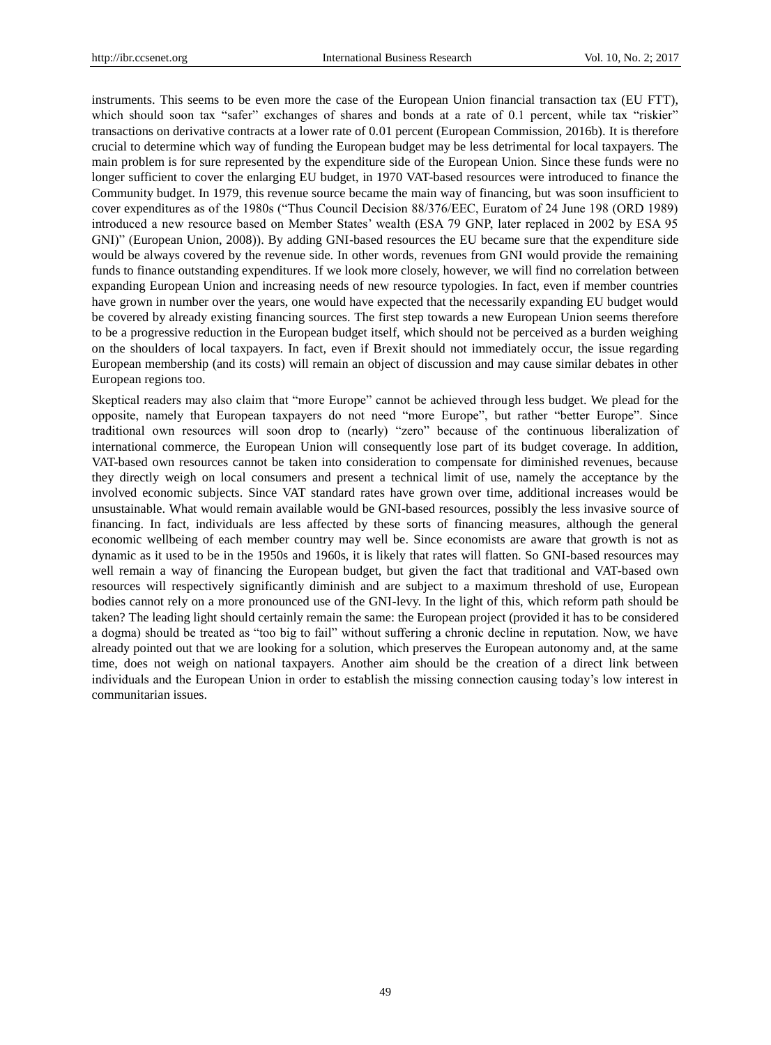instruments. This seems to be even more the case of the European Union financial transaction tax (EU FTT), which should soon tax "safer" exchanges of shares and bonds at a rate of 0.1 percent, while tax "riskier" transactions on derivative contracts at a lower rate of 0.01 percent (European Commission, 2016b). It is therefore crucial to determine which way of funding the European budget may be less detrimental for local taxpayers. The main problem is for sure represented by the expenditure side of the European Union. Since these funds were no longer sufficient to cover the enlarging EU budget, in 1970 VAT-based resources were introduced to finance the Community budget. In 1979, this revenue source became the main way of financing, but was soon insufficient to cover expenditures as of the 1980s ("Thus Council Decision 88/376/EEC, Euratom of 24 June 198 (ORD 1989) introduced a new resource based on Member States" wealth (ESA 79 GNP, later replaced in 2002 by ESA 95 GNI)" (European Union, 2008)). By adding GNI-based resources the EU became sure that the expenditure side would be always covered by the revenue side. In other words, revenues from GNI would provide the remaining funds to finance outstanding expenditures. If we look more closely, however, we will find no correlation between expanding European Union and increasing needs of new resource typologies. In fact, even if member countries have grown in number over the years, one would have expected that the necessarily expanding EU budget would be covered by already existing financing sources. The first step towards a new European Union seems therefore to be a progressive reduction in the European budget itself, which should not be perceived as a burden weighing on the shoulders of local taxpayers. In fact, even if Brexit should not immediately occur, the issue regarding European membership (and its costs) will remain an object of discussion and may cause similar debates in other European regions too.

Skeptical readers may also claim that "more Europe" cannot be achieved through less budget. We plead for the opposite, namely that European taxpayers do not need "more Europe", but rather "better Europe". Since traditional own resources will soon drop to (nearly) "zero" because of the continuous liberalization of international commerce, the European Union will consequently lose part of its budget coverage. In addition, VAT-based own resources cannot be taken into consideration to compensate for diminished revenues, because they directly weigh on local consumers and present a technical limit of use, namely the acceptance by the involved economic subjects. Since VAT standard rates have grown over time, additional increases would be unsustainable. What would remain available would be GNI-based resources, possibly the less invasive source of financing. In fact, individuals are less affected by these sorts of financing measures, although the general economic wellbeing of each member country may well be. Since economists are aware that growth is not as dynamic as it used to be in the 1950s and 1960s, it is likely that rates will flatten. So GNI-based resources may well remain a way of financing the European budget, but given the fact that traditional and VAT-based own resources will respectively significantly diminish and are subject to a maximum threshold of use, European bodies cannot rely on a more pronounced use of the GNI-levy. In the light of this, which reform path should be taken? The leading light should certainly remain the same: the European project (provided it has to be considered a dogma) should be treated as "too big to fail" without suffering a chronic decline in reputation. Now, we have already pointed out that we are looking for a solution, which preserves the European autonomy and, at the same time, does not weigh on national taxpayers. Another aim should be the creation of a direct link between individuals and the European Union in order to establish the missing connection causing today"s low interest in communitarian issues.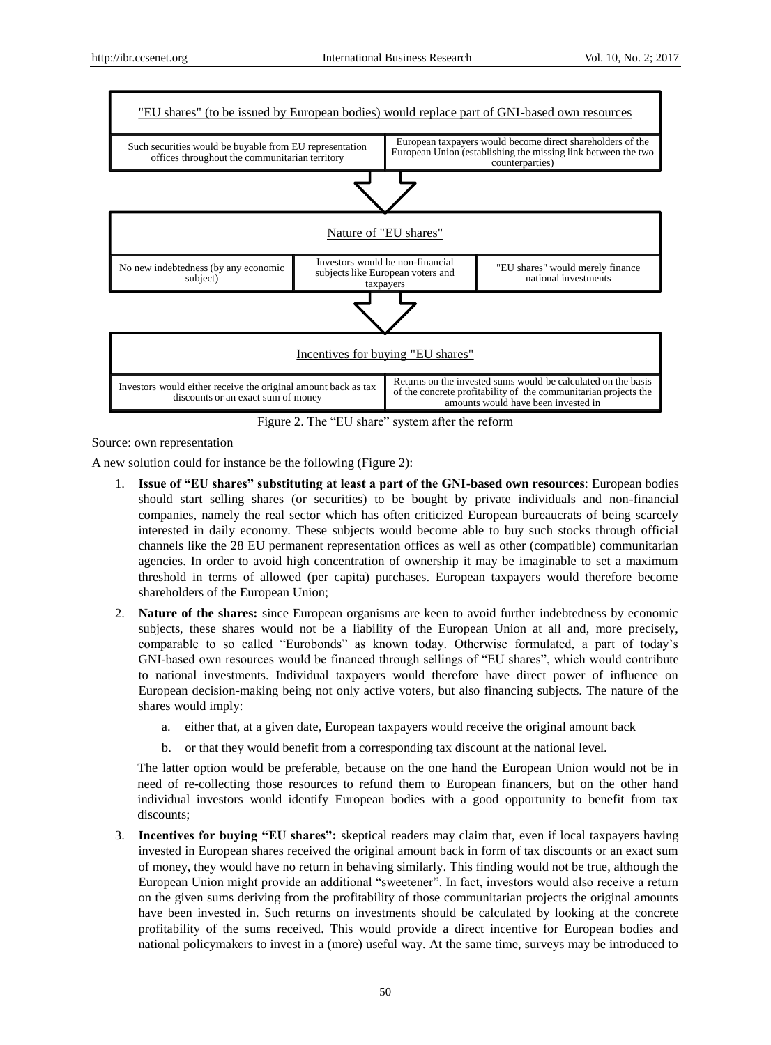

Figure 2. The "EU share" system after the reform

Source: own representation

A new solution could for instance be the following (Figure 2):

- 1. **Issue of "EU shares" substituting at least a part of the GNI-based own resources**: European bodies should start selling shares (or securities) to be bought by private individuals and non-financial companies, namely the real sector which has often criticized European bureaucrats of being scarcely interested in daily economy. These subjects would become able to buy such stocks through official channels like the 28 EU permanent representation offices as well as other (compatible) communitarian agencies. In order to avoid high concentration of ownership it may be imaginable to set a maximum threshold in terms of allowed (per capita) purchases. European taxpayers would therefore become shareholders of the European Union;
- 2. **Nature of the shares:** since European organisms are keen to avoid further indebtedness by economic subjects, these shares would not be a liability of the European Union at all and, more precisely, comparable to so called "Eurobonds" as known today. Otherwise formulated, a part of today"s GNI-based own resources would be financed through sellings of "EU shares", which would contribute to national investments. Individual taxpayers would therefore have direct power of influence on European decision-making being not only active voters, but also financing subjects. The nature of the shares would imply:
	- a. either that, at a given date, European taxpayers would receive the original amount back
	- b. or that they would benefit from a corresponding tax discount at the national level.

The latter option would be preferable, because on the one hand the European Union would not be in need of re-collecting those resources to refund them to European financers, but on the other hand individual investors would identify European bodies with a good opportunity to benefit from tax discounts;

3. **Incentives for buying "EU shares":** skeptical readers may claim that, even if local taxpayers having invested in European shares received the original amount back in form of tax discounts or an exact sum of money, they would have no return in behaving similarly. This finding would not be true, although the European Union might provide an additional "sweetener". In fact, investors would also receive a return on the given sums deriving from the profitability of those communitarian projects the original amounts have been invested in. Such returns on investments should be calculated by looking at the concrete profitability of the sums received. This would provide a direct incentive for European bodies and national policymakers to invest in a (more) useful way. At the same time, surveys may be introduced to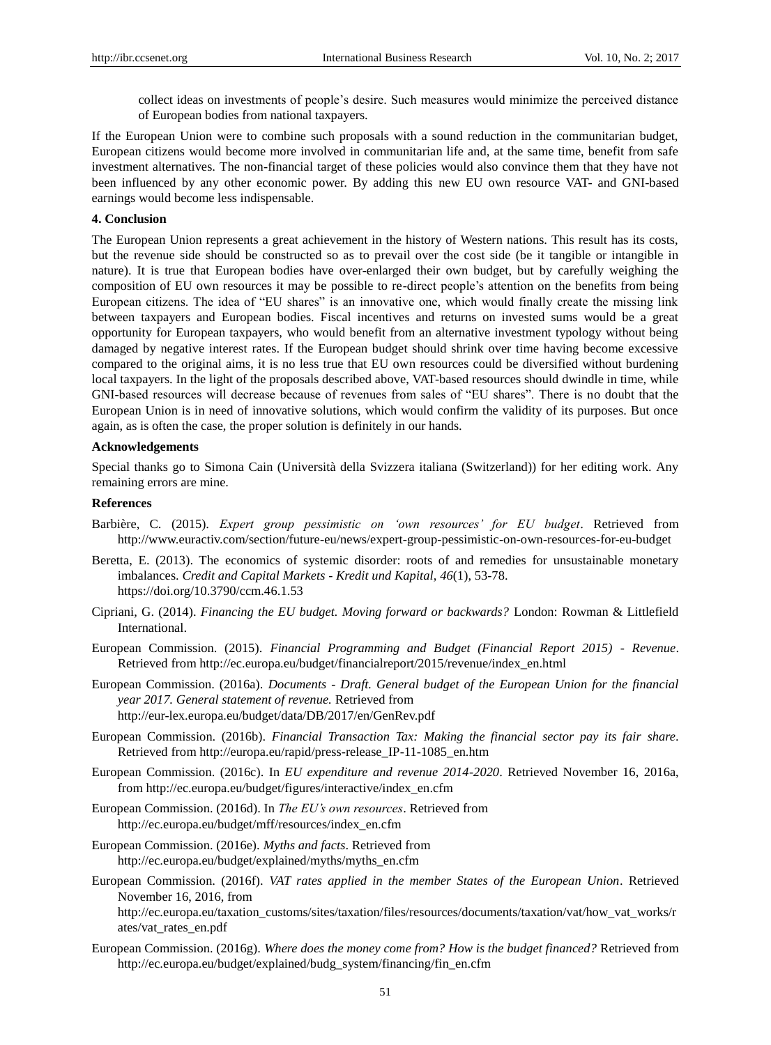collect ideas on investments of people"s desire. Such measures would minimize the perceived distance of European bodies from national taxpayers.

If the European Union were to combine such proposals with a sound reduction in the communitarian budget, European citizens would become more involved in communitarian life and, at the same time, benefit from safe investment alternatives. The non-financial target of these policies would also convince them that they have not been influenced by any other economic power. By adding this new EU own resource VAT- and GNI-based earnings would become less indispensable.

### **4. Conclusion**

The European Union represents a great achievement in the history of Western nations. This result has its costs, but the revenue side should be constructed so as to prevail over the cost side (be it tangible or intangible in nature). It is true that European bodies have over-enlarged their own budget, but by carefully weighing the composition of EU own resources it may be possible to re-direct people"s attention on the benefits from being European citizens. The idea of "EU shares" is an innovative one, which would finally create the missing link between taxpayers and European bodies. Fiscal incentives and returns on invested sums would be a great opportunity for European taxpayers, who would benefit from an alternative investment typology without being damaged by negative interest rates. If the European budget should shrink over time having become excessive compared to the original aims, it is no less true that EU own resources could be diversified without burdening local taxpayers. In the light of the proposals described above, VAT-based resources should dwindle in time, while GNI-based resources will decrease because of revenues from sales of "EU shares". There is no doubt that the European Union is in need of innovative solutions, which would confirm the validity of its purposes. But once again, as is often the case, the proper solution is definitely in our hands.

#### **Acknowledgements**

Special thanks go to Simona Cain (Università della Svizzera italiana (Switzerland)) for her editing work. Any remaining errors are mine.

#### **References**

- Barbière, C. (2015). *Expert group pessimistic on "own resources" for EU budget*. Retrieved from <http://www.euractiv.com/section/future-eu/news/expert-group-pessimistic-on-own-resources-for-eu-budget>
- Beretta, E. (2013). The economics of systemic disorder: roots of and remedies for unsustainable monetary imbalances. *Credit and Capital Markets - Kredit und Kapital*, *46*(1), 53-78. <https://doi.org/10.3790/ccm.46.1.53>
- Cipriani, G. (2014). *Financing the EU budget. Moving forward or backwards?* London: Rowman & Littlefield International.
- European Commission. (2015). *Financial Programming and Budget (Financial Report 2015) - Revenue*. Retrieved from [http://ec.europa.eu/budget/financialreport/2015/revenue/index\\_en.html](http://ec.europa.eu/budget/financialreport/2015/revenue/index_en.html)
- European Commission. (2016a). *Documents - Draft. General budget of the European Union for the financial year 2017. General statement of revenue.* Retrieved from <http://eur-lex.europa.eu/budget/data/DB/2017/en/GenRev.pdf>
- European Commission. (2016b). *Financial Transaction Tax: Making the financial sector pay its fair share*. Retrieved from [http://europa.eu/rapid/press-release\\_IP-11-1085\\_en.htm](http://europa.eu/rapid/press-release_IP-11-1085_en.htm)
- European Commission. (2016c). In *EU expenditure and revenue 2014-2020*. Retrieved November 16, 2016a, from [http://ec.europa.eu/budget/figures/interactive/index\\_en.cfm](http://ec.europa.eu/budget/figures/interactive/index_en.cfm)
- European Commission. (2016d). In *The EU"s own resources*. Retrieved from [http://ec.europa.eu/budget/mff/resources/index\\_en.cfm](http://ec.europa.eu/budget/mff/resources/index_en.cfm)
- European Commission. (2016e). *Myths and facts*. Retrieved from [http://ec.europa.eu/budget/explained/myths/myths\\_en.cfm](http://ec.europa.eu/budget/explained/myths/myths_en.cfm)
- European Commission. (2016f). *VAT rates applied in the member States of the European Union*. Retrieved November 16, 2016, from

[http://ec.europa.eu/taxation\\_customs/sites/taxation/files/resources/documents/taxation/vat/how\\_vat\\_works/r](http://ec.europa.eu/taxation_customs/sites/taxation/files/resources/documents/taxation/vat/how_vat_works/rates/vat_rates_en.pdf) [ates/vat\\_rates\\_en.pdf](http://ec.europa.eu/taxation_customs/sites/taxation/files/resources/documents/taxation/vat/how_vat_works/rates/vat_rates_en.pdf)

European Commission. (2016g). *Where does the money come from? How is the budget financed?* Retrieved from [http://ec.europa.eu/budget/explained/budg\\_system/financing/fin\\_en.cfm](http://ec.europa.eu/budget/explained/budg_system/financing/fin_en.cfm)